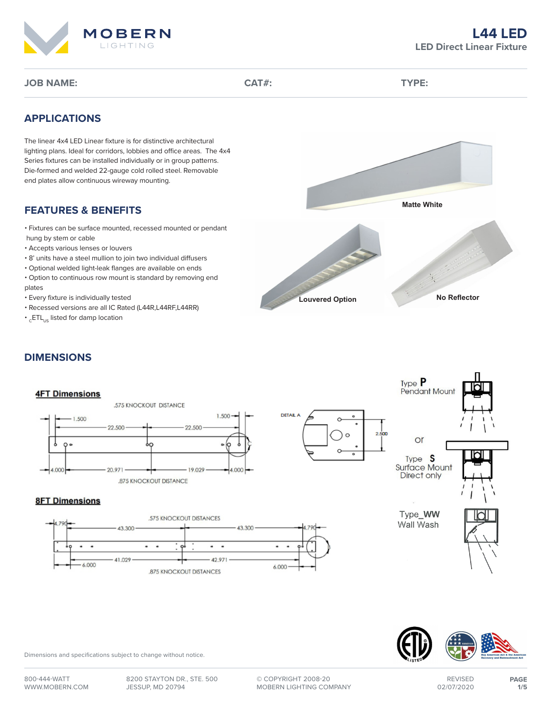

# **APPLICATIONS**

The linear 4x4 LED Linear fixture is for distinctive architectural lighting plans. Ideal for corridors, lobbies and office areas. The 4x4 Series fixtures can be installed individually or in group patterns. Die-formed and welded 22-gauge cold rolled steel. Removable end plates allow continuous wireway mounting.

## **FEATURES & BENEFITS**

- Fixtures can be surface mounted, recessed mounted or pendant
- hung by stem or cable
- Accepts various lenses or louvers
- 8' units have a steel mullion to join two individual diffusers
- Optional welded light-leak flanges are available on ends
- Option to continuous row mount is standard by removing end plates
- Every fixture is individually tested
- Recessed versions are all IC Rated (L44R,L44RF,L44RR)
- $\cdot$ <sub>C</sub>ETL<sub>US</sub> listed for damp location



# **DIMENSIONS**



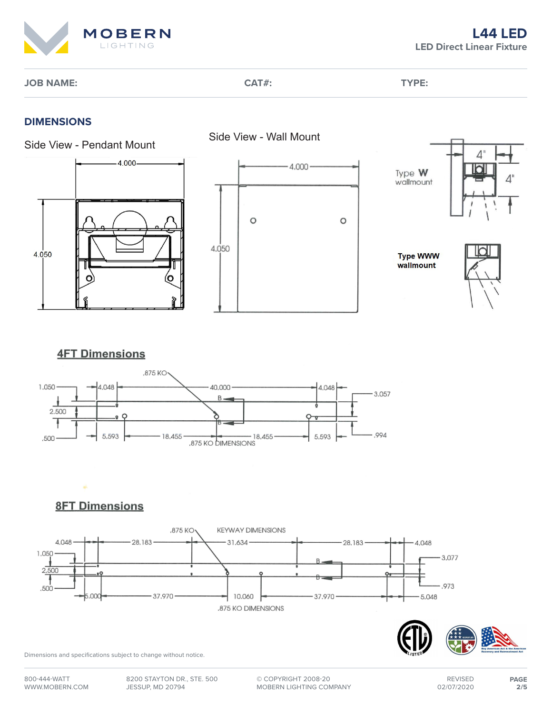

# **DIMENSIONS**





**Type WWW** wallmount

O



# **4FT Dimensions**



**8FT Dimensions** 



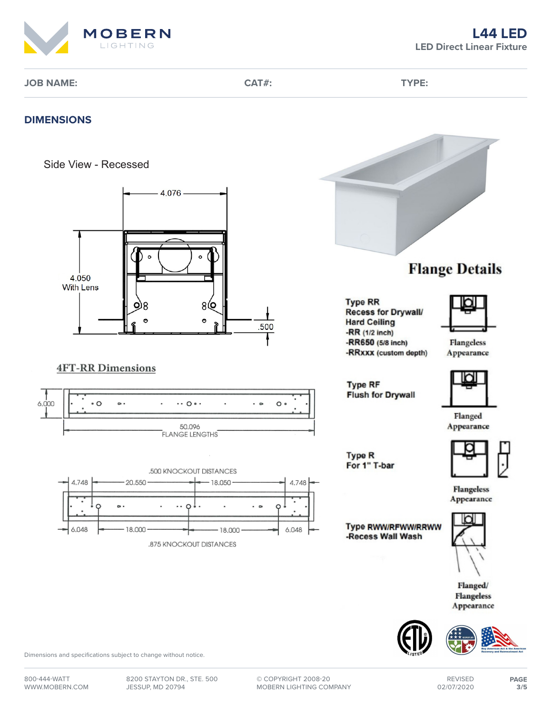

#### **DIMENSIONS**





## **4FT-RR Dimensions**









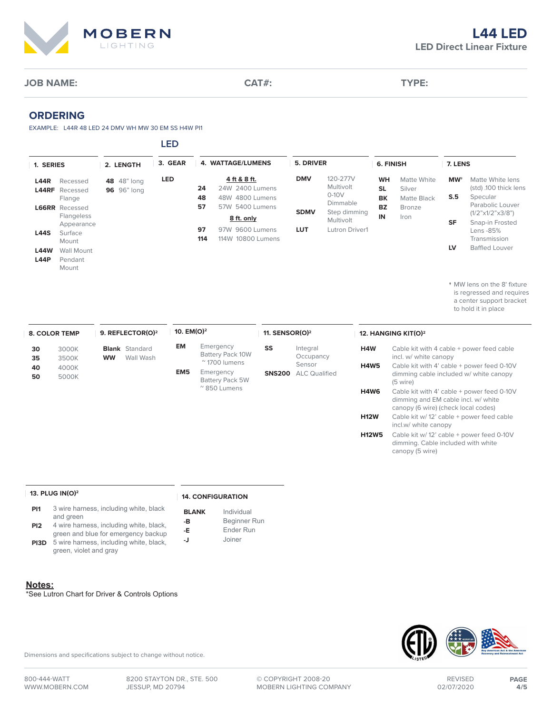

#### **ORDERING**

EXAMPLE: L44R 48 LED 24 DMV WH MW 30 EM SS H4W PI1

**LED**

| 1. SERIES                  |                                                          | 2. LENGTH                         | 3. GEAR | 4. WATTAGE/LUMENS                                              | 5. DRIVER   |                                       | 6. FINISH                           |                                      | 7. LENS                      |                                                         |
|----------------------------|----------------------------------------------------------|-----------------------------------|---------|----------------------------------------------------------------|-------------|---------------------------------------|-------------------------------------|--------------------------------------|------------------------------|---------------------------------------------------------|
| <b>L44R</b>                | Recessed<br>L44RF Recessed<br>Flange                     | 48 48" long<br><b>96</b> 96" long | LED     | 4 ft & 8 ft.<br>24W 2400 Lumens<br>24<br>48<br>48W 4800 Lumens | <b>DMV</b>  | 120-277V<br>Multivolt<br>$0-10V$      | <b>WH</b><br><b>SL</b><br><b>BK</b> | Matte White<br>Silver<br>Matte Black | <b>MW<sup>+</sup></b><br>S.5 | Matte White lens<br>(std) .100 thick lens<br>Specular   |
|                            | <b>L66RR</b> Recessed<br><b>Flangeless</b><br>Appearance |                                   |         | 57<br>57W 5400 Lumens<br>8 ft. only                            | <b>SDMV</b> | Dimmable<br>Step dimming<br>Multivolt | <b>BZ</b><br>IN                     | <b>Bronze</b><br>Iron                | <b>SF</b>                    | Parabolic Louver<br>(1/2"x1/2"x3/8")<br>Snap-in Frosted |
| <b>L44S</b>                | Surface<br>Mount                                         |                                   |         | 97<br>97W 9600 Lumens<br>114<br>114W 10800 Lumens              | <b>LUT</b>  | Lutron Driver1                        |                                     |                                      |                              | Lens -85%<br>Transmission                               |
| <b>L44W</b><br><b>L44P</b> | Wall Mount<br>Pendant<br>Mount                           |                                   |         |                                                                |             |                                       |                                     |                                      | LV                           | <b>Baffled Louver</b>                                   |

**†** MW lens on the 8' fixture is regressed and requires a center support bracket to hold it in place

| <b>8. COLOR TEMP</b> |                | 9. REFLECTOR(O) <sup>2</sup>                    |                 | 10. EM(O) <sup>2</sup>                                 |               | 11. SENSOR(O) $2$              |              | 12. HANGING KIT(O) <sup>2</sup>                                                                                          |  |  |
|----------------------|----------------|-------------------------------------------------|-----------------|--------------------------------------------------------|---------------|--------------------------------|--------------|--------------------------------------------------------------------------------------------------------------------------|--|--|
| 30<br>35             | 3000K<br>3500K | <b>Blank</b> Standard<br>Wall Wash<br><b>WW</b> | EM              | Emergency<br>Battery Pack 10W<br>$\approx$ 1700 lumens | SS            | Integral<br>Occupancy          | H4W          | Cable kit with 4 cable + power feed cable<br>incl. w/ white canopy                                                       |  |  |
| 40<br>50             | 4000K<br>5000K |                                                 | EM <sub>5</sub> | Emergency<br><b>Battery Pack 5W</b>                    | <b>SNS200</b> | Sensor<br><b>ALC Qualified</b> | <b>H4W5</b>  | Cable kit with 4' cable + power feed 0-10V<br>dimming cable included w/ white canopy<br>(5 wire)                         |  |  |
|                      |                |                                                 |                 |                                                        |               |                                |              |                                                                                                                          |  |  |
|                      |                |                                                 |                 | $^{\prime\prime}$ 850 Lumens                           |               |                                | H4W6         | Cable kit with 4' cable + power feed 0-10V<br>dimming and EM cable incl. w/ white<br>canopy (6 wire) (check local codes) |  |  |
|                      |                |                                                 |                 |                                                        |               |                                | <b>H12W</b>  | Cable kit w/12' cable + power feed cable<br>incl.w/ white canopy                                                         |  |  |
|                      |                |                                                 |                 |                                                        |               |                                | <b>H12W5</b> | Cable kit w/12' cable + power feed 0-10V<br>dimming. Cable included with white<br>canopy (5 wire)                        |  |  |

#### **13. PLUG IN(O)2**

#### **14. CONFIGURATION**

- **PI1** 3 wire harness, including white, black and green
- **BLANK** Individual **-B** Beginner Run

**-E** Ender Run **-J** Joiner

- **PI2** 4 wire harness, including white, black, green and blue for emergency backup
- **PI3D** 5 wire harness, including white, black, green, violet and gray

#### **Notes:**

\*See Lutron Chart for Driver & Controls Options